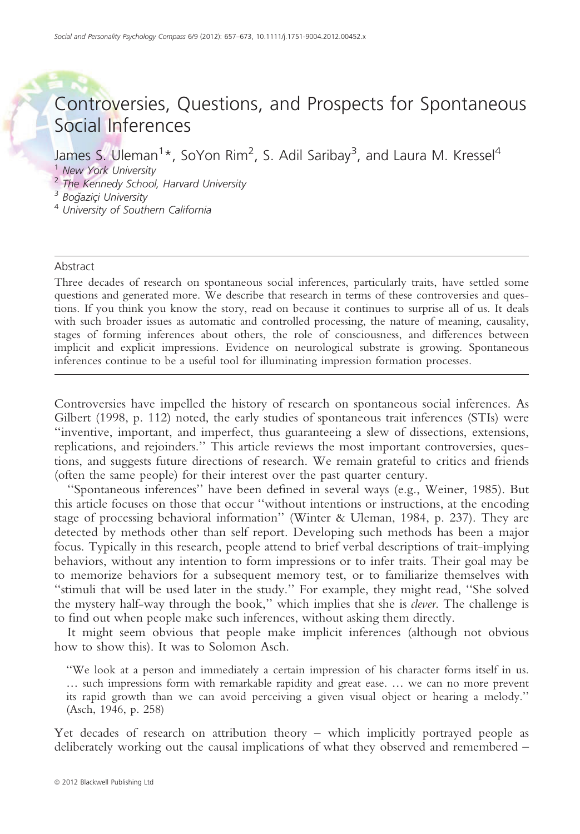# Controversies, Questions, and Prospects for Spontaneous Social Inferences

James S. Uleman<sup>1</sup>\*, SoYon Rim<sup>2</sup>, S. Adil Saribay<sup>3</sup>, and Laura M. Kressel<sup>4</sup>

<sup>1</sup> New York University

<sup>2</sup> The Kennedy School, Harvard University<br><sup>3</sup> Bogazici University

<sup>4</sup> University of Southern California

#### Abstract

Three decades of research on spontaneous social inferences, particularly traits, have settled some questions and generated more. We describe that research in terms of these controversies and questions. If you think you know the story, read on because it continues to surprise all of us. It deals with such broader issues as automatic and controlled processing, the nature of meaning, causality, stages of forming inferences about others, the role of consciousness, and differences between implicit and explicit impressions. Evidence on neurological substrate is growing. Spontaneous inferences continue to be a useful tool for illuminating impression formation processes.

Controversies have impelled the history of research on spontaneous social inferences. As Gilbert (1998, p. 112) noted, the early studies of spontaneous trait inferences (STIs) were ''inventive, important, and imperfect, thus guaranteeing a slew of dissections, extensions, replications, and rejoinders.'' This article reviews the most important controversies, questions, and suggests future directions of research. We remain grateful to critics and friends (often the same people) for their interest over the past quarter century.

''Spontaneous inferences'' have been defined in several ways (e.g., Weiner, 1985). But this article focuses on those that occur ''without intentions or instructions, at the encoding stage of processing behavioral information'' (Winter & Uleman, 1984, p. 237). They are detected by methods other than self report. Developing such methods has been a major focus. Typically in this research, people attend to brief verbal descriptions of trait-implying behaviors, without any intention to form impressions or to infer traits. Their goal may be to memorize behaviors for a subsequent memory test, or to familiarize themselves with ''stimuli that will be used later in the study.'' For example, they might read, ''She solved the mystery half-way through the book,'' which implies that she is clever. The challenge is to find out when people make such inferences, without asking them directly.

It might seem obvious that people make implicit inferences (although not obvious how to show this). It was to Solomon Asch.

''We look at a person and immediately a certain impression of his character forms itself in us. … such impressions form with remarkable rapidity and great ease. … we can no more prevent its rapid growth than we can avoid perceiving a given visual object or hearing a melody.'' (Asch, 1946, p. 258)

Yet decades of research on attribution theory – which implicitly portrayed people as deliberately working out the causal implications of what they observed and remembered –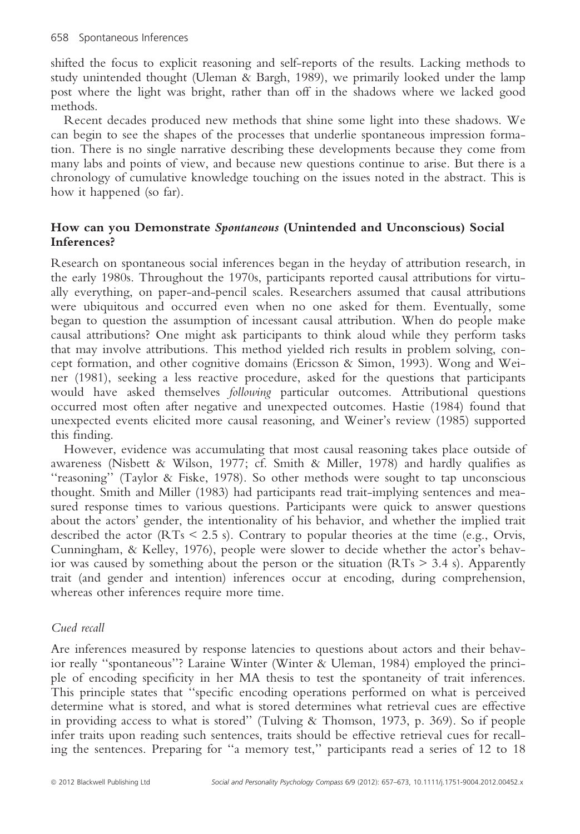shifted the focus to explicit reasoning and self-reports of the results. Lacking methods to study unintended thought (Uleman & Bargh, 1989), we primarily looked under the lamp post where the light was bright, rather than off in the shadows where we lacked good methods.

Recent decades produced new methods that shine some light into these shadows. We can begin to see the shapes of the processes that underlie spontaneous impression formation. There is no single narrative describing these developments because they come from many labs and points of view, and because new questions continue to arise. But there is a chronology of cumulative knowledge touching on the issues noted in the abstract. This is how it happened (so far).

## How can you Demonstrate Spontaneous (Unintended and Unconscious) Social Inferences?

Research on spontaneous social inferences began in the heyday of attribution research, in the early 1980s. Throughout the 1970s, participants reported causal attributions for virtually everything, on paper-and-pencil scales. Researchers assumed that causal attributions were ubiquitous and occurred even when no one asked for them. Eventually, some began to question the assumption of incessant causal attribution. When do people make causal attributions? One might ask participants to think aloud while they perform tasks that may involve attributions. This method yielded rich results in problem solving, concept formation, and other cognitive domains (Ericsson & Simon, 1993). Wong and Weiner (1981), seeking a less reactive procedure, asked for the questions that participants would have asked themselves following particular outcomes. Attributional questions occurred most often after negative and unexpected outcomes. Hastie (1984) found that unexpected events elicited more causal reasoning, and Weiner's review (1985) supported this finding.

However, evidence was accumulating that most causal reasoning takes place outside of awareness (Nisbett & Wilson, 1977; cf. Smith & Miller, 1978) and hardly qualifies as ''reasoning'' (Taylor & Fiske, 1978). So other methods were sought to tap unconscious thought. Smith and Miller (1983) had participants read trait-implying sentences and measured response times to various questions. Participants were quick to answer questions about the actors' gender, the intentionality of his behavior, and whether the implied trait described the actor ( $RTs \le 2.5$  s). Contrary to popular theories at the time (e.g., Orvis, Cunningham, & Kelley, 1976), people were slower to decide whether the actor's behavior was caused by something about the person or the situation ( $RTs > 3.4$  s). Apparently trait (and gender and intention) inferences occur at encoding, during comprehension, whereas other inferences require more time.

## Cued recall

Are inferences measured by response latencies to questions about actors and their behavior really ''spontaneous''? Laraine Winter (Winter & Uleman, 1984) employed the principle of encoding specificity in her MA thesis to test the spontaneity of trait inferences. This principle states that ''specific encoding operations performed on what is perceived determine what is stored, and what is stored determines what retrieval cues are effective in providing access to what is stored'' (Tulving & Thomson, 1973, p. 369). So if people infer traits upon reading such sentences, traits should be effective retrieval cues for recalling the sentences. Preparing for ''a memory test,'' participants read a series of 12 to 18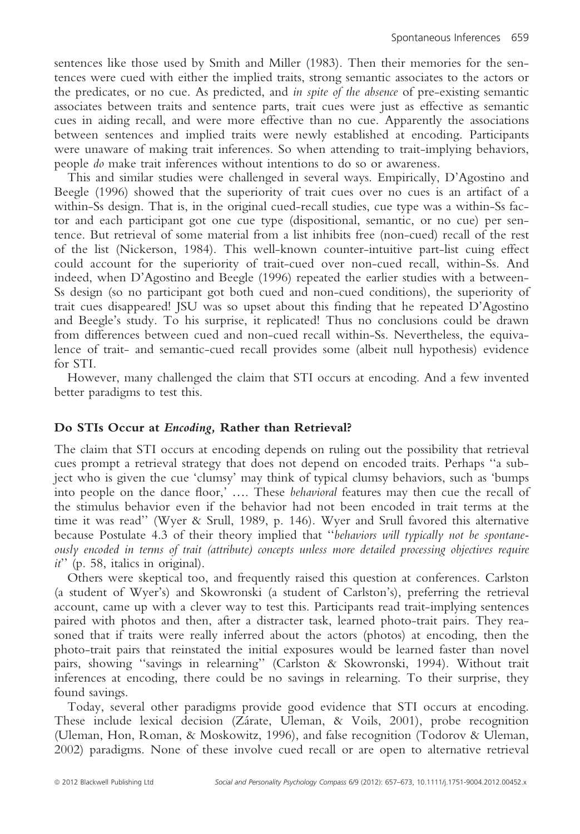sentences like those used by Smith and Miller (1983). Then their memories for the sentences were cued with either the implied traits, strong semantic associates to the actors or the predicates, or no cue. As predicted, and in spite of the absence of pre-existing semantic associates between traits and sentence parts, trait cues were just as effective as semantic cues in aiding recall, and were more effective than no cue. Apparently the associations between sentences and implied traits were newly established at encoding. Participants were unaware of making trait inferences. So when attending to trait-implying behaviors, people do make trait inferences without intentions to do so or awareness.

This and similar studies were challenged in several ways. Empirically, D'Agostino and Beegle (1996) showed that the superiority of trait cues over no cues is an artifact of a within-Ss design. That is, in the original cued-recall studies, cue type was a within-Ss factor and each participant got one cue type (dispositional, semantic, or no cue) per sentence. But retrieval of some material from a list inhibits free (non-cued) recall of the rest of the list (Nickerson, 1984). This well-known counter-intuitive part-list cuing effect could account for the superiority of trait-cued over non-cued recall, within-Ss. And indeed, when D'Agostino and Beegle (1996) repeated the earlier studies with a between-Ss design (so no participant got both cued and non-cued conditions), the superiority of trait cues disappeared! JSU was so upset about this finding that he repeated D'Agostino and Beegle's study. To his surprise, it replicated! Thus no conclusions could be drawn from differences between cued and non-cued recall within-Ss. Nevertheless, the equivalence of trait- and semantic-cued recall provides some (albeit null hypothesis) evidence for STI.

However, many challenged the claim that STI occurs at encoding. And a few invented better paradigms to test this.

#### Do STIs Occur at Encoding, Rather than Retrieval?

The claim that STI occurs at encoding depends on ruling out the possibility that retrieval cues prompt a retrieval strategy that does not depend on encoded traits. Perhaps ''a subject who is given the cue 'clumsy' may think of typical clumsy behaviors, such as 'bumps into people on the dance floor,' …. These behavioral features may then cue the recall of the stimulus behavior even if the behavior had not been encoded in trait terms at the time it was read'' (Wyer & Srull, 1989, p. 146). Wyer and Srull favored this alternative because Postulate 4.3 of their theory implied that ''behaviors will typically not be spontaneously encoded in terms of trait (attribute) concepts unless more detailed processing objectives require  $it'$  (p. 58, italics in original).

Others were skeptical too, and frequently raised this question at conferences. Carlston (a student of Wyer's) and Skowronski (a student of Carlston's), preferring the retrieval account, came up with a clever way to test this. Participants read trait-implying sentences paired with photos and then, after a distracter task, learned photo-trait pairs. They reasoned that if traits were really inferred about the actors (photos) at encoding, then the photo-trait pairs that reinstated the initial exposures would be learned faster than novel pairs, showing ''savings in relearning'' (Carlston & Skowronski, 1994). Without trait inferences at encoding, there could be no savings in relearning. To their surprise, they found savings.

Today, several other paradigms provide good evidence that STI occurs at encoding. These include lexical decision (Zárate, Uleman,  $\&$  Voils, 2001), probe recognition (Uleman, Hon, Roman, & Moskowitz, 1996), and false recognition (Todorov & Uleman, 2002) paradigms. None of these involve cued recall or are open to alternative retrieval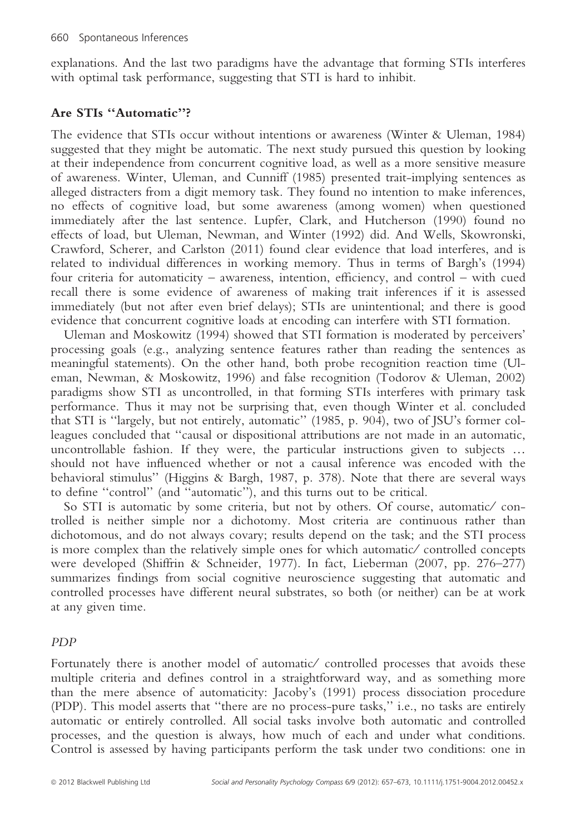explanations. And the last two paradigms have the advantage that forming STIs interferes with optimal task performance, suggesting that STI is hard to inhibit.

#### Are STIs ''Automatic''?

The evidence that STIs occur without intentions or awareness (Winter & Uleman, 1984) suggested that they might be automatic. The next study pursued this question by looking at their independence from concurrent cognitive load, as well as a more sensitive measure of awareness. Winter, Uleman, and Cunniff (1985) presented trait-implying sentences as alleged distracters from a digit memory task. They found no intention to make inferences, no effects of cognitive load, but some awareness (among women) when questioned immediately after the last sentence. Lupfer, Clark, and Hutcherson (1990) found no effects of load, but Uleman, Newman, and Winter (1992) did. And Wells, Skowronski, Crawford, Scherer, and Carlston (2011) found clear evidence that load interferes, and is related to individual differences in working memory. Thus in terms of Bargh's (1994) four criteria for automaticity – awareness, intention, efficiency, and control – with cued recall there is some evidence of awareness of making trait inferences if it is assessed immediately (but not after even brief delays); STIs are unintentional; and there is good evidence that concurrent cognitive loads at encoding can interfere with STI formation.

Uleman and Moskowitz (1994) showed that STI formation is moderated by perceivers' processing goals (e.g., analyzing sentence features rather than reading the sentences as meaningful statements). On the other hand, both probe recognition reaction time (Uleman, Newman, & Moskowitz, 1996) and false recognition (Todorov & Uleman, 2002) paradigms show STI as uncontrolled, in that forming STIs interferes with primary task performance. Thus it may not be surprising that, even though Winter et al. concluded that STI is ''largely, but not entirely, automatic'' (1985, p. 904), two of JSU's former colleagues concluded that ''causal or dispositional attributions are not made in an automatic, uncontrollable fashion. If they were, the particular instructions given to subjects … should not have influenced whether or not a causal inference was encoded with the behavioral stimulus'' (Higgins & Bargh, 1987, p. 378). Note that there are several ways to define ''control'' (and ''automatic''), and this turns out to be critical.

So STI is automatic by some criteria, but not by others. Of course, automatic/controlled is neither simple nor a dichotomy. Most criteria are continuous rather than dichotomous, and do not always covary; results depend on the task; and the STI process is more complex than the relatively simple ones for which automatic/ $\dot{\text{control}}$  concepts were developed (Shiffrin & Schneider, 1977). In fact, Lieberman (2007, pp. 276–277) summarizes findings from social cognitive neuroscience suggesting that automatic and controlled processes have different neural substrates, so both (or neither) can be at work at any given time.

#### PDP

Fortunately there is another model of automatic/ controlled processes that avoids these multiple criteria and defines control in a straightforward way, and as something more than the mere absence of automaticity: Jacoby's (1991) process dissociation procedure (PDP). This model asserts that ''there are no process-pure tasks,'' i.e., no tasks are entirely automatic or entirely controlled. All social tasks involve both automatic and controlled processes, and the question is always, how much of each and under what conditions. Control is assessed by having participants perform the task under two conditions: one in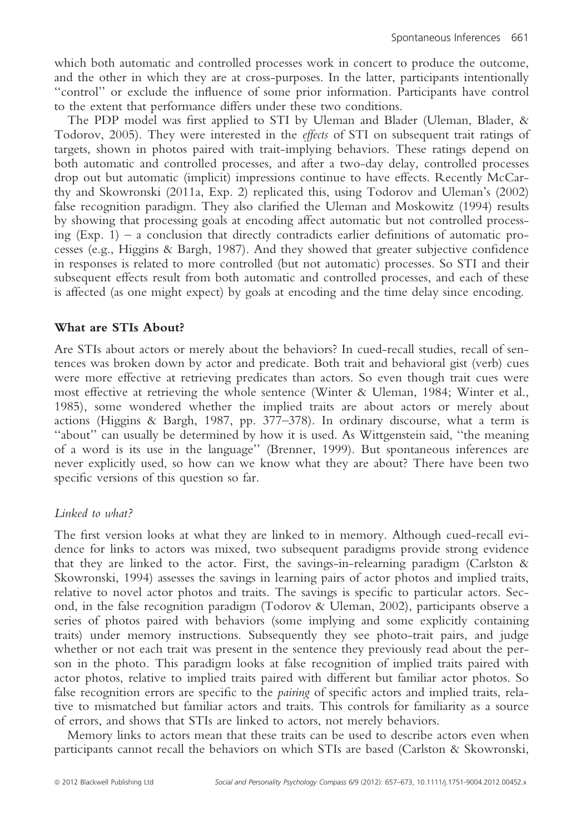which both automatic and controlled processes work in concert to produce the outcome, and the other in which they are at cross-purposes. In the latter, participants intentionally ''control'' or exclude the influence of some prior information. Participants have control to the extent that performance differs under these two conditions.

The PDP model was first applied to STI by Uleman and Blader (Uleman, Blader, & Todorov, 2005). They were interested in the effects of STI on subsequent trait ratings of targets, shown in photos paired with trait-implying behaviors. These ratings depend on both automatic and controlled processes, and after a two-day delay, controlled processes drop out but automatic (implicit) impressions continue to have effects. Recently McCarthy and Skowronski (2011a, Exp. 2) replicated this, using Todorov and Uleman's (2002) false recognition paradigm. They also clarified the Uleman and Moskowitz (1994) results by showing that processing goals at encoding affect automatic but not controlled processing  $(Exp. 1)$  – a conclusion that directly contradicts earlier definitions of automatic processes (e.g., Higgins & Bargh, 1987). And they showed that greater subjective confidence in responses is related to more controlled (but not automatic) processes. So STI and their subsequent effects result from both automatic and controlled processes, and each of these is affected (as one might expect) by goals at encoding and the time delay since encoding.

#### What are STIs About?

Are STIs about actors or merely about the behaviors? In cued-recall studies, recall of sentences was broken down by actor and predicate. Both trait and behavioral gist (verb) cues were more effective at retrieving predicates than actors. So even though trait cues were most effective at retrieving the whole sentence (Winter & Uleman, 1984; Winter et al., 1985), some wondered whether the implied traits are about actors or merely about actions (Higgins & Bargh, 1987, pp. 377–378). In ordinary discourse, what a term is ''about'' can usually be determined by how it is used. As Wittgenstein said, ''the meaning of a word is its use in the language'' (Brenner, 1999). But spontaneous inferences are never explicitly used, so how can we know what they are about? There have been two specific versions of this question so far.

#### Linked to what?

The first version looks at what they are linked to in memory. Although cued-recall evidence for links to actors was mixed, two subsequent paradigms provide strong evidence that they are linked to the actor. First, the savings-in-relearning paradigm (Carlston  $\&$ Skowronski, 1994) assesses the savings in learning pairs of actor photos and implied traits, relative to novel actor photos and traits. The savings is specific to particular actors. Second, in the false recognition paradigm (Todorov & Uleman, 2002), participants observe a series of photos paired with behaviors (some implying and some explicitly containing traits) under memory instructions. Subsequently they see photo-trait pairs, and judge whether or not each trait was present in the sentence they previously read about the person in the photo. This paradigm looks at false recognition of implied traits paired with actor photos, relative to implied traits paired with different but familiar actor photos. So false recognition errors are specific to the pairing of specific actors and implied traits, relative to mismatched but familiar actors and traits. This controls for familiarity as a source of errors, and shows that STIs are linked to actors, not merely behaviors.

Memory links to actors mean that these traits can be used to describe actors even when participants cannot recall the behaviors on which STIs are based (Carlston & Skowronski,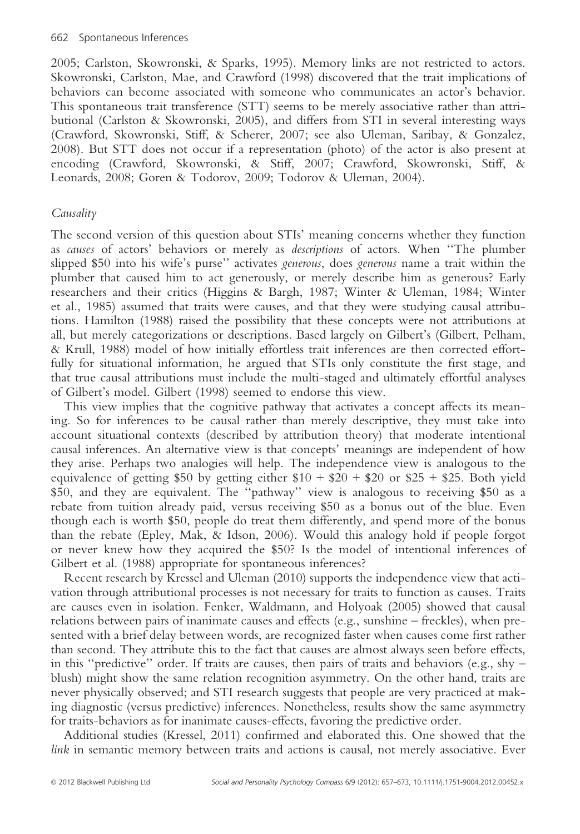2005; Carlston, Skowronski, & Sparks, 1995). Memory links are not restricted to actors. Skowronski, Carlston, Mae, and Crawford (1998) discovered that the trait implications of behaviors can become associated with someone who communicates an actor's behavior. This spontaneous trait transference (STT) seems to be merely associative rather than attributional (Carlston & Skowronski, 2005), and differs from STI in several interesting ways (Crawford, Skowronski, Stiff, & Scherer, 2007; see also Uleman, Saribay, & Gonzalez, 2008). But STT does not occur if a representation (photo) of the actor is also present at encoding (Crawford, Skowronski, & Stiff, 2007; Crawford, Skowronski, Stiff, & Leonards, 2008; Goren & Todorov, 2009; Todorov & Uleman, 2004).

## Causality

The second version of this question about STIs' meaning concerns whether they function as causes of actors' behaviors or merely as descriptions of actors. When ''The plumber slipped \$50 into his wife's purse'' activates generous, does generous name a trait within the plumber that caused him to act generously, or merely describe him as generous? Early researchers and their critics (Higgins & Bargh, 1987; Winter & Uleman, 1984; Winter et al., 1985) assumed that traits were causes, and that they were studying causal attributions. Hamilton (1988) raised the possibility that these concepts were not attributions at all, but merely categorizations or descriptions. Based largely on Gilbert's (Gilbert, Pelham, & Krull, 1988) model of how initially effortless trait inferences are then corrected effortfully for situational information, he argued that STIs only constitute the first stage, and that true causal attributions must include the multi-staged and ultimately effortful analyses of Gilbert's model. Gilbert (1998) seemed to endorse this view.

This view implies that the cognitive pathway that activates a concept affects its meaning. So for inferences to be causal rather than merely descriptive, they must take into account situational contexts (described by attribution theory) that moderate intentional causal inferences. An alternative view is that concepts' meanings are independent of how they arise. Perhaps two analogies will help. The independence view is analogous to the equivalence of getting \$50 by getting either  $$10 + $20 + $20$  or \$25 + \$25. Both yield \$50, and they are equivalent. The ''pathway'' view is analogous to receiving \$50 as a rebate from tuition already paid, versus receiving \$50 as a bonus out of the blue. Even though each is worth \$50, people do treat them differently, and spend more of the bonus than the rebate (Epley, Mak, & Idson, 2006). Would this analogy hold if people forgot or never knew how they acquired the \$50? Is the model of intentional inferences of Gilbert et al. (1988) appropriate for spontaneous inferences?

Recent research by Kressel and Uleman (2010) supports the independence view that activation through attributional processes is not necessary for traits to function as causes. Traits are causes even in isolation. Fenker, Waldmann, and Holyoak (2005) showed that causal relations between pairs of inanimate causes and effects (e.g., sunshine – freckles), when presented with a brief delay between words, are recognized faster when causes come first rather than second. They attribute this to the fact that causes are almost always seen before effects, in this "predictive" order. If traits are causes, then pairs of traits and behaviors (e.g., shy  $$ blush) might show the same relation recognition asymmetry. On the other hand, traits are never physically observed; and STI research suggests that people are very practiced at making diagnostic (versus predictive) inferences. Nonetheless, results show the same asymmetry for traits-behaviors as for inanimate causes-effects, favoring the predictive order.

Additional studies (Kressel, 2011) confirmed and elaborated this. One showed that the link in semantic memory between traits and actions is causal, not merely associative. Ever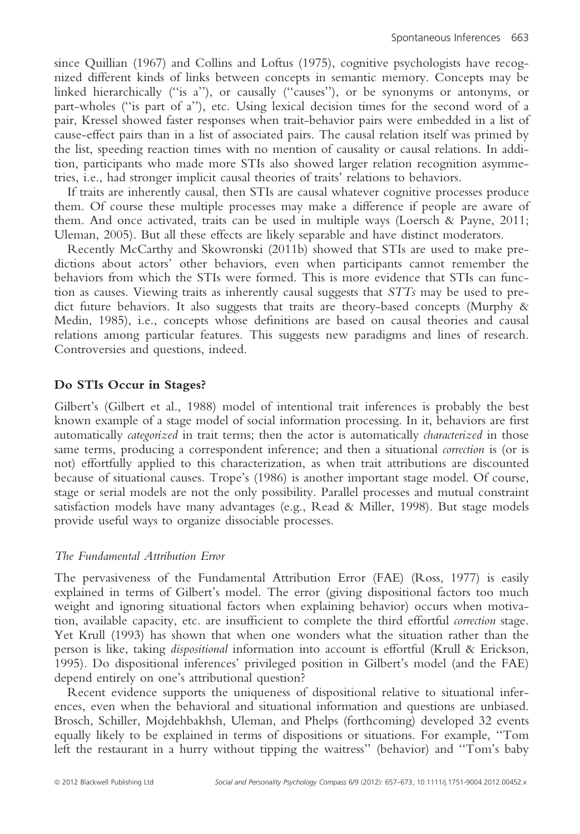since Quillian (1967) and Collins and Loftus (1975), cognitive psychologists have recognized different kinds of links between concepts in semantic memory. Concepts may be linked hierarchically (''is a''), or causally (''causes''), or be synonyms or antonyms, or part-wholes (''is part of a''), etc. Using lexical decision times for the second word of a pair, Kressel showed faster responses when trait-behavior pairs were embedded in a list of cause-effect pairs than in a list of associated pairs. The causal relation itself was primed by the list, speeding reaction times with no mention of causality or causal relations. In addition, participants who made more STIs also showed larger relation recognition asymmetries, i.e., had stronger implicit causal theories of traits' relations to behaviors.

If traits are inherently causal, then STIs are causal whatever cognitive processes produce them. Of course these multiple processes may make a difference if people are aware of them. And once activated, traits can be used in multiple ways (Loersch & Payne, 2011; Uleman, 2005). But all these effects are likely separable and have distinct moderators.

Recently McCarthy and Skowronski (2011b) showed that STIs are used to make predictions about actors' other behaviors, even when participants cannot remember the behaviors from which the STIs were formed. This is more evidence that STIs can function as causes. Viewing traits as inherently causal suggests that STTs may be used to predict future behaviors. It also suggests that traits are theory-based concepts (Murphy  $\&$ Medin, 1985), i.e., concepts whose definitions are based on causal theories and causal relations among particular features. This suggests new paradigms and lines of research. Controversies and questions, indeed.

## Do STIs Occur in Stages?

Gilbert's (Gilbert et al., 1988) model of intentional trait inferences is probably the best known example of a stage model of social information processing. In it, behaviors are first automatically *categorized* in trait terms; then the actor is automatically *characterized* in those same terms, producing a correspondent inference; and then a situational *correction* is (or is not) effortfully applied to this characterization, as when trait attributions are discounted because of situational causes. Trope's (1986) is another important stage model. Of course, stage or serial models are not the only possibility. Parallel processes and mutual constraint satisfaction models have many advantages (e.g., Read & Miller, 1998). But stage models provide useful ways to organize dissociable processes.

## The Fundamental Attribution Error

The pervasiveness of the Fundamental Attribution Error (FAE) (Ross, 1977) is easily explained in terms of Gilbert's model. The error (giving dispositional factors too much weight and ignoring situational factors when explaining behavior) occurs when motivation, available capacity, etc. are insufficient to complete the third effortful correction stage. Yet Krull (1993) has shown that when one wonders what the situation rather than the person is like, taking dispositional information into account is effortful (Krull & Erickson, 1995). Do dispositional inferences' privileged position in Gilbert's model (and the FAE) depend entirely on one's attributional question?

Recent evidence supports the uniqueness of dispositional relative to situational inferences, even when the behavioral and situational information and questions are unbiased. Brosch, Schiller, Mojdehbakhsh, Uleman, and Phelps (forthcoming) developed 32 events equally likely to be explained in terms of dispositions or situations. For example, ''Tom left the restaurant in a hurry without tipping the waitress'' (behavior) and ''Tom's baby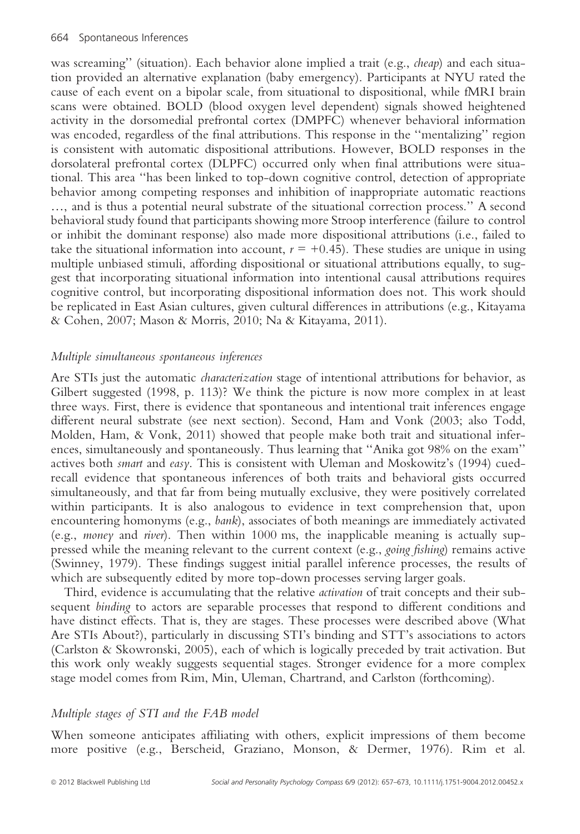was screaming" (situation). Each behavior alone implied a trait (e.g., *cheap*) and each situation provided an alternative explanation (baby emergency). Participants at NYU rated the cause of each event on a bipolar scale, from situational to dispositional, while fMRI brain scans were obtained. BOLD (blood oxygen level dependent) signals showed heightened activity in the dorsomedial prefrontal cortex (DMPFC) whenever behavioral information was encoded, regardless of the final attributions. This response in the ''mentalizing'' region is consistent with automatic dispositional attributions. However, BOLD responses in the dorsolateral prefrontal cortex (DLPFC) occurred only when final attributions were situational. This area ''has been linked to top-down cognitive control, detection of appropriate behavior among competing responses and inhibition of inappropriate automatic reactions …, and is thus a potential neural substrate of the situational correction process.'' A second behavioral study found that participants showing more Stroop interference (failure to control or inhibit the dominant response) also made more dispositional attributions (i.e., failed to take the situational information into account,  $r = +0.45$ ). These studies are unique in using multiple unbiased stimuli, affording dispositional or situational attributions equally, to suggest that incorporating situational information into intentional causal attributions requires cognitive control, but incorporating dispositional information does not. This work should be replicated in East Asian cultures, given cultural differences in attributions (e.g., Kitayama & Cohen, 2007; Mason & Morris, 2010; Na & Kitayama, 2011).

## Multiple simultaneous spontaneous inferences

Are STIs just the automatic *characterization* stage of intentional attributions for behavior, as Gilbert suggested (1998, p. 113)? We think the picture is now more complex in at least three ways. First, there is evidence that spontaneous and intentional trait inferences engage different neural substrate (see next section). Second, Ham and Vonk (2003; also Todd, Molden, Ham, & Vonk, 2011) showed that people make both trait and situational inferences, simultaneously and spontaneously. Thus learning that ''Anika got 98% on the exam'' actives both smart and easy. This is consistent with Uleman and Moskowitz's (1994) cuedrecall evidence that spontaneous inferences of both traits and behavioral gists occurred simultaneously, and that far from being mutually exclusive, they were positively correlated within participants. It is also analogous to evidence in text comprehension that, upon encountering homonyms (e.g., bank), associates of both meanings are immediately activated (e.g., money and river). Then within 1000 ms, the inapplicable meaning is actually suppressed while the meaning relevant to the current context (e.g., going fishing) remains active (Swinney, 1979). These findings suggest initial parallel inference processes, the results of which are subsequently edited by more top-down processes serving larger goals.

Third, evidence is accumulating that the relative activation of trait concepts and their subsequent binding to actors are separable processes that respond to different conditions and have distinct effects. That is, they are stages. These processes were described above (What Are STIs About?), particularly in discussing STI's binding and STT's associations to actors (Carlston & Skowronski, 2005), each of which is logically preceded by trait activation. But this work only weakly suggests sequential stages. Stronger evidence for a more complex stage model comes from Rim, Min, Uleman, Chartrand, and Carlston (forthcoming).

# Multiple stages of STI and the FAB model

When someone anticipates affiliating with others, explicit impressions of them become more positive (e.g., Berscheid, Graziano, Monson, & Dermer, 1976). Rim et al.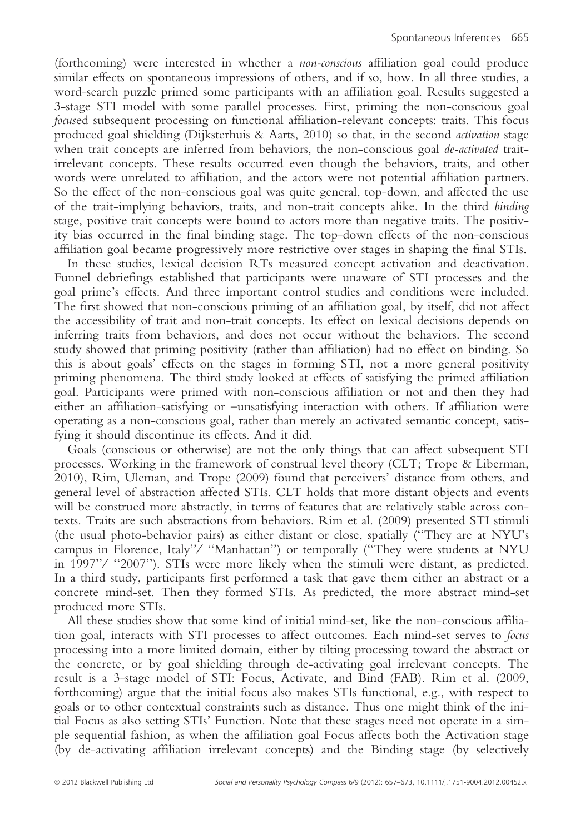(forthcoming) were interested in whether a non-conscious affiliation goal could produce similar effects on spontaneous impressions of others, and if so, how. In all three studies, a word-search puzzle primed some participants with an affiliation goal. Results suggested a 3-stage STI model with some parallel processes. First, priming the non-conscious goal focused subsequent processing on functional affiliation-relevant concepts: traits. This focus produced goal shielding (Dijksterhuis & Aarts, 2010) so that, in the second activation stage when trait concepts are inferred from behaviors, the non-conscious goal *de-activated* traitirrelevant concepts. These results occurred even though the behaviors, traits, and other words were unrelated to affiliation, and the actors were not potential affiliation partners. So the effect of the non-conscious goal was quite general, top-down, and affected the use of the trait-implying behaviors, traits, and non-trait concepts alike. In the third binding stage, positive trait concepts were bound to actors more than negative traits. The positivity bias occurred in the final binding stage. The top-down effects of the non-conscious affiliation goal became progressively more restrictive over stages in shaping the final STIs.

In these studies, lexical decision RTs measured concept activation and deactivation. Funnel debriefings established that participants were unaware of STI processes and the goal prime's effects. And three important control studies and conditions were included. The first showed that non-conscious priming of an affiliation goal, by itself, did not affect the accessibility of trait and non-trait concepts. Its effect on lexical decisions depends on inferring traits from behaviors, and does not occur without the behaviors. The second study showed that priming positivity (rather than affiliation) had no effect on binding. So this is about goals' effects on the stages in forming STI, not a more general positivity priming phenomena. The third study looked at effects of satisfying the primed affiliation goal. Participants were primed with non-conscious affiliation or not and then they had either an affiliation-satisfying or –unsatisfying interaction with others. If affiliation were operating as a non-conscious goal, rather than merely an activated semantic concept, satisfying it should discontinue its effects. And it did.

Goals (conscious or otherwise) are not the only things that can affect subsequent STI processes. Working in the framework of construal level theory (CLT; Trope & Liberman, 2010), Rim, Uleman, and Trope (2009) found that perceivers' distance from others, and general level of abstraction affected STIs. CLT holds that more distant objects and events will be construed more abstractly, in terms of features that are relatively stable across contexts. Traits are such abstractions from behaviors. Rim et al. (2009) presented STI stimuli (the usual photo-behavior pairs) as either distant or close, spatially (''They are at NYU's campus in Florence, Italy''⁄ ''Manhattan'') or temporally (''They were students at NYU in 1997"/ "2007"). STIs were more likely when the stimuli were distant, as predicted. In a third study, participants first performed a task that gave them either an abstract or a concrete mind-set. Then they formed STIs. As predicted, the more abstract mind-set produced more STIs.

All these studies show that some kind of initial mind-set, like the non-conscious affiliation goal, interacts with STI processes to affect outcomes. Each mind-set serves to focus processing into a more limited domain, either by tilting processing toward the abstract or the concrete, or by goal shielding through de-activating goal irrelevant concepts. The result is a 3-stage model of STI: Focus, Activate, and Bind (FAB). Rim et al. (2009, forthcoming) argue that the initial focus also makes STIs functional, e.g., with respect to goals or to other contextual constraints such as distance. Thus one might think of the initial Focus as also setting STIs' Function. Note that these stages need not operate in a simple sequential fashion, as when the affiliation goal Focus affects both the Activation stage (by de-activating affiliation irrelevant concepts) and the Binding stage (by selectively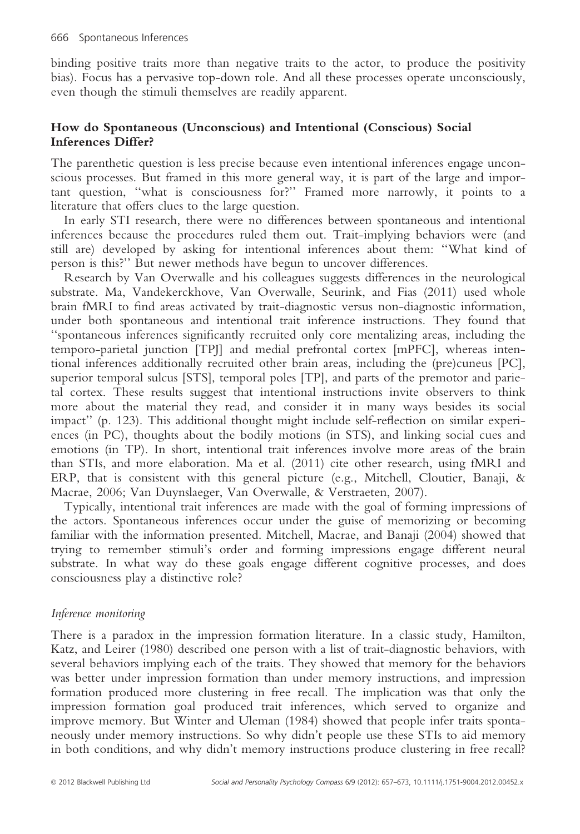binding positive traits more than negative traits to the actor, to produce the positivity bias). Focus has a pervasive top-down role. And all these processes operate unconsciously, even though the stimuli themselves are readily apparent.

## How do Spontaneous (Unconscious) and Intentional (Conscious) Social Inferences Differ?

The parenthetic question is less precise because even intentional inferences engage unconscious processes. But framed in this more general way, it is part of the large and important question, ''what is consciousness for?'' Framed more narrowly, it points to a literature that offers clues to the large question.

In early STI research, there were no differences between spontaneous and intentional inferences because the procedures ruled them out. Trait-implying behaviors were (and still are) developed by asking for intentional inferences about them: ''What kind of person is this?'' But newer methods have begun to uncover differences.

Research by Van Overwalle and his colleagues suggests differences in the neurological substrate. Ma, Vandekerckhove, Van Overwalle, Seurink, and Fias (2011) used whole brain fMRI to find areas activated by trait-diagnostic versus non-diagnostic information, under both spontaneous and intentional trait inference instructions. They found that ''spontaneous inferences significantly recruited only core mentalizing areas, including the temporo-parietal junction [TPJ] and medial prefrontal cortex [mPFC], whereas intentional inferences additionally recruited other brain areas, including the (pre)cuneus [PC], superior temporal sulcus [STS], temporal poles [TP], and parts of the premotor and parietal cortex. These results suggest that intentional instructions invite observers to think more about the material they read, and consider it in many ways besides its social impact'' (p. 123). This additional thought might include self-reflection on similar experiences (in PC), thoughts about the bodily motions (in STS), and linking social cues and emotions (in TP). In short, intentional trait inferences involve more areas of the brain than STIs, and more elaboration. Ma et al. (2011) cite other research, using fMRI and ERP, that is consistent with this general picture (e.g., Mitchell, Cloutier, Banaji, & Macrae, 2006; Van Duynslaeger, Van Overwalle, & Verstraeten, 2007).

Typically, intentional trait inferences are made with the goal of forming impressions of the actors. Spontaneous inferences occur under the guise of memorizing or becoming familiar with the information presented. Mitchell, Macrae, and Banaji (2004) showed that trying to remember stimuli's order and forming impressions engage different neural substrate. In what way do these goals engage different cognitive processes, and does consciousness play a distinctive role?

#### Inference monitoring

There is a paradox in the impression formation literature. In a classic study, Hamilton, Katz, and Leirer (1980) described one person with a list of trait-diagnostic behaviors, with several behaviors implying each of the traits. They showed that memory for the behaviors was better under impression formation than under memory instructions, and impression formation produced more clustering in free recall. The implication was that only the impression formation goal produced trait inferences, which served to organize and improve memory. But Winter and Uleman (1984) showed that people infer traits spontaneously under memory instructions. So why didn't people use these STIs to aid memory in both conditions, and why didn't memory instructions produce clustering in free recall?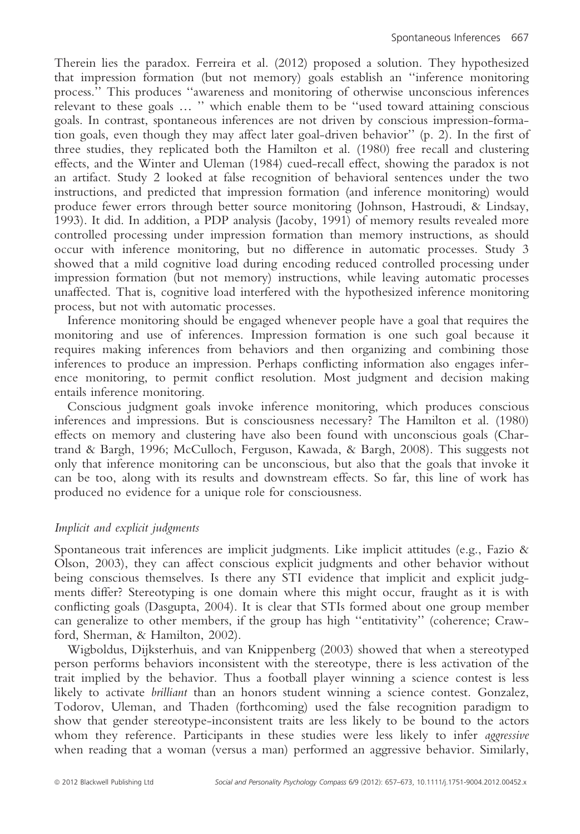Therein lies the paradox. Ferreira et al. (2012) proposed a solution. They hypothesized that impression formation (but not memory) goals establish an ''inference monitoring process.'' This produces ''awareness and monitoring of otherwise unconscious inferences relevant to these goals … '' which enable them to be ''used toward attaining conscious goals. In contrast, spontaneous inferences are not driven by conscious impression-formation goals, even though they may affect later goal-driven behavior'' (p. 2). In the first of three studies, they replicated both the Hamilton et al. (1980) free recall and clustering effects, and the Winter and Uleman (1984) cued-recall effect, showing the paradox is not an artifact. Study 2 looked at false recognition of behavioral sentences under the two instructions, and predicted that impression formation (and inference monitoring) would produce fewer errors through better source monitoring (Johnson, Hastroudi, & Lindsay, 1993). It did. In addition, a PDP analysis (Jacoby, 1991) of memory results revealed more controlled processing under impression formation than memory instructions, as should occur with inference monitoring, but no difference in automatic processes. Study 3 showed that a mild cognitive load during encoding reduced controlled processing under impression formation (but not memory) instructions, while leaving automatic processes unaffected. That is, cognitive load interfered with the hypothesized inference monitoring process, but not with automatic processes.

Inference monitoring should be engaged whenever people have a goal that requires the monitoring and use of inferences. Impression formation is one such goal because it requires making inferences from behaviors and then organizing and combining those inferences to produce an impression. Perhaps conflicting information also engages inference monitoring, to permit conflict resolution. Most judgment and decision making entails inference monitoring.

Conscious judgment goals invoke inference monitoring, which produces conscious inferences and impressions. But is consciousness necessary? The Hamilton et al. (1980) effects on memory and clustering have also been found with unconscious goals (Chartrand & Bargh, 1996; McCulloch, Ferguson, Kawada, & Bargh, 2008). This suggests not only that inference monitoring can be unconscious, but also that the goals that invoke it can be too, along with its results and downstream effects. So far, this line of work has produced no evidence for a unique role for consciousness.

#### Implicit and explicit judgments

Spontaneous trait inferences are implicit judgments. Like implicit attitudes (e.g., Fazio & Olson, 2003), they can affect conscious explicit judgments and other behavior without being conscious themselves. Is there any STI evidence that implicit and explicit judgments differ? Stereotyping is one domain where this might occur, fraught as it is with conflicting goals (Dasgupta, 2004). It is clear that STIs formed about one group member can generalize to other members, if the group has high ''entitativity'' (coherence; Crawford, Sherman, & Hamilton, 2002).

Wigboldus, Dijksterhuis, and van Knippenberg (2003) showed that when a stereotyped person performs behaviors inconsistent with the stereotype, there is less activation of the trait implied by the behavior. Thus a football player winning a science contest is less likely to activate brilliant than an honors student winning a science contest. Gonzalez, Todorov, Uleman, and Thaden (forthcoming) used the false recognition paradigm to show that gender stereotype-inconsistent traits are less likely to be bound to the actors whom they reference. Participants in these studies were less likely to infer *aggressive* when reading that a woman (versus a man) performed an aggressive behavior. Similarly,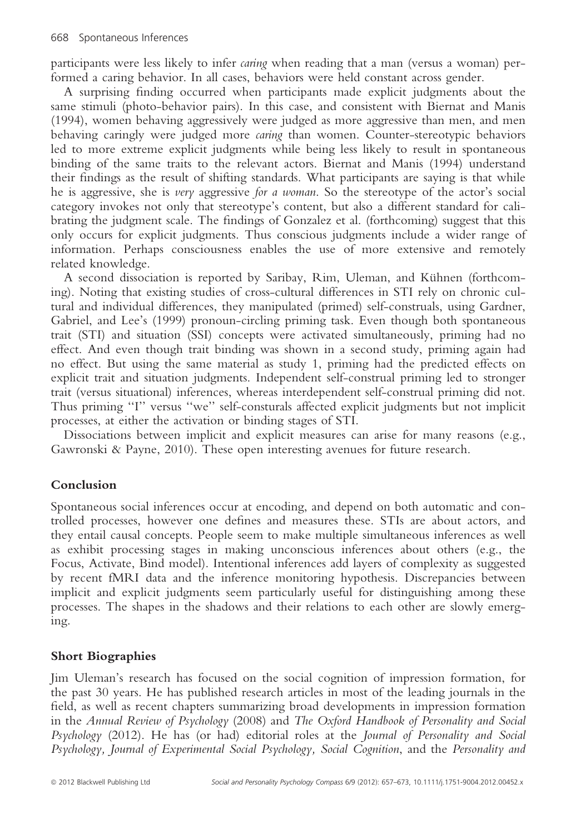participants were less likely to infer caring when reading that a man (versus a woman) performed a caring behavior. In all cases, behaviors were held constant across gender.

A surprising finding occurred when participants made explicit judgments about the same stimuli (photo-behavior pairs). In this case, and consistent with Biernat and Manis (1994), women behaving aggressively were judged as more aggressive than men, and men behaving caringly were judged more *caring* than women. Counter-stereotypic behaviors led to more extreme explicit judgments while being less likely to result in spontaneous binding of the same traits to the relevant actors. Biernat and Manis (1994) understand their findings as the result of shifting standards. What participants are saying is that while he is aggressive, she is very aggressive for a woman. So the stereotype of the actor's social category invokes not only that stereotype's content, but also a different standard for calibrating the judgment scale. The findings of Gonzalez et al. (forthcoming) suggest that this only occurs for explicit judgments. Thus conscious judgments include a wider range of information. Perhaps consciousness enables the use of more extensive and remotely related knowledge.

A second dissociation is reported by Saribay, Rim, Uleman, and Kühnen (forthcoming). Noting that existing studies of cross-cultural differences in STI rely on chronic cultural and individual differences, they manipulated (primed) self-construals, using Gardner, Gabriel, and Lee's (1999) pronoun-circling priming task. Even though both spontaneous trait (STI) and situation (SSI) concepts were activated simultaneously, priming had no effect. And even though trait binding was shown in a second study, priming again had no effect. But using the same material as study 1, priming had the predicted effects on explicit trait and situation judgments. Independent self-construal priming led to stronger trait (versus situational) inferences, whereas interdependent self-construal priming did not. Thus priming ''I'' versus ''we'' self-consturals affected explicit judgments but not implicit processes, at either the activation or binding stages of STI.

Dissociations between implicit and explicit measures can arise for many reasons (e.g., Gawronski & Payne, 2010). These open interesting avenues for future research.

# Conclusion

Spontaneous social inferences occur at encoding, and depend on both automatic and controlled processes, however one defines and measures these. STIs are about actors, and they entail causal concepts. People seem to make multiple simultaneous inferences as well as exhibit processing stages in making unconscious inferences about others (e.g., the Focus, Activate, Bind model). Intentional inferences add layers of complexity as suggested by recent fMRI data and the inference monitoring hypothesis. Discrepancies between implicit and explicit judgments seem particularly useful for distinguishing among these processes. The shapes in the shadows and their relations to each other are slowly emerging.

# Short Biographies

Jim Uleman's research has focused on the social cognition of impression formation, for the past 30 years. He has published research articles in most of the leading journals in the field, as well as recent chapters summarizing broad developments in impression formation in the Annual Review of Psychology (2008) and The Oxford Handbook of Personality and Social Psychology (2012). He has (or had) editorial roles at the Journal of Personality and Social Psychology, Journal of Experimental Social Psychology, Social Cognition, and the Personality and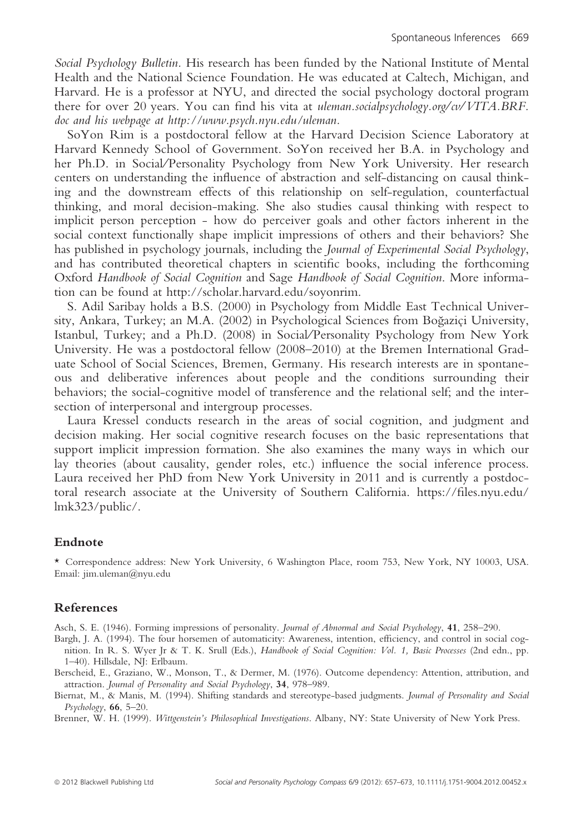Social Psychology Bulletin. His research has been funded by the National Institute of Mental Health and the National Science Foundation. He was educated at Caltech, Michigan, and Harvard. He is a professor at NYU, and directed the social psychology doctoral program there for over 20 years. You can find his vita at *uleman.socialpsychology.org/cv/VITA.BRF.* doc and his webpage at http://www.psych.nyu.edu/uleman.

SoYon Rim is a postdoctoral fellow at the Harvard Decision Science Laboratory at Harvard Kennedy School of Government. SoYon received her B.A. in Psychology and her Ph.D. in Social/Personality Psychology from New York University. Her research centers on understanding the influence of abstraction and self-distancing on causal thinking and the downstream effects of this relationship on self-regulation, counterfactual thinking, and moral decision-making. She also studies causal thinking with respect to implicit person perception - how do perceiver goals and other factors inherent in the social context functionally shape implicit impressions of others and their behaviors? She has published in psychology journals, including the *Journal of Experimental Social Psychology*, and has contributed theoretical chapters in scientific books, including the forthcoming Oxford Handbook of Social Cognition and Sage Handbook of Social Cognition. More information can be found at http://scholar.harvard.edu/soyonrim.

S. Adil Saribay holds a B.S. (2000) in Psychology from Middle East Technical University, Ankara, Turkey; an M.A. (2002) in Psychological Sciences from Boğaziçi University, Istanbul, Turkey; and a Ph.D. (2008) in Social ⁄Personality Psychology from New York University. He was a postdoctoral fellow (2008–2010) at the Bremen International Graduate School of Social Sciences, Bremen, Germany. His research interests are in spontaneous and deliberative inferences about people and the conditions surrounding their behaviors; the social-cognitive model of transference and the relational self; and the intersection of interpersonal and intergroup processes.

Laura Kressel conducts research in the areas of social cognition, and judgment and decision making. Her social cognitive research focuses on the basic representations that support implicit impression formation. She also examines the many ways in which our lay theories (about causality, gender roles, etc.) influence the social inference process. Laura received her PhD from New York University in 2011 and is currently a postdoctoral research associate at the University of Southern California. https://files.nyu.edu/ lmk323/public/.

## Endnote

\* Correspondence address: New York University, 6 Washington Place, room 753, New York, NY 10003, USA. Email: jim.uleman@nyu.edu

## References

Asch, S. E. (1946). Forming impressions of personality. Journal of Abnormal and Social Psychology, 41, 258–290.

- Bargh, J. A. (1994). The four horsemen of automaticity: Awareness, intention, efficiency, and control in social cognition. In R. S. Wyer Jr & T. K. Srull (Eds.), Handbook of Social Cognition: Vol. 1, Basic Processes (2nd edn., pp. 1–40). Hillsdale, NJ: Erlbaum.
- Berscheid, E., Graziano, W., Monson, T., & Dermer, M. (1976). Outcome dependency: Attention, attribution, and attraction. Journal of Personality and Social Psychology, 34, 978–989.
- Biernat, M., & Manis, M. (1994). Shifting standards and stereotype-based judgments. Journal of Personality and Social Psychology,  $66, 5-20$ .

Brenner, W. H. (1999). Wittgenstein's Philosophical Investigations. Albany, NY: State University of New York Press.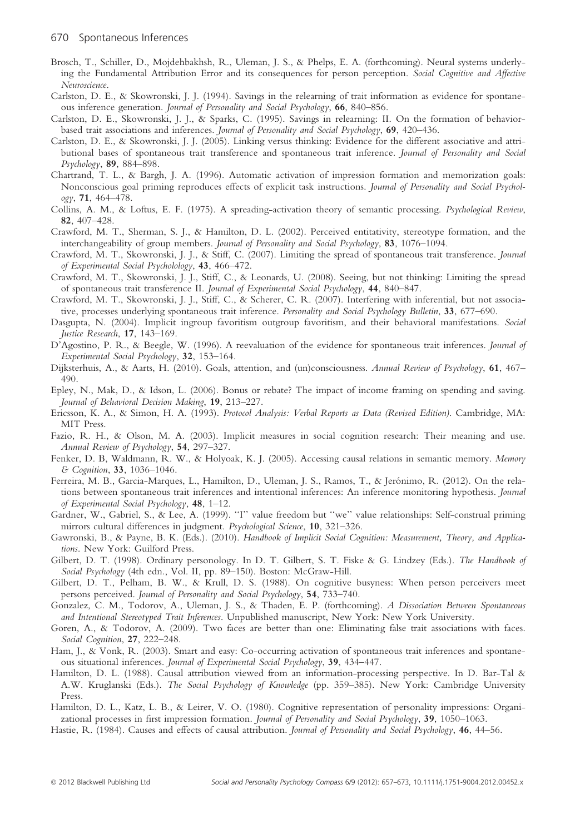- Brosch, T., Schiller, D., Mojdehbakhsh, R., Uleman, J. S., & Phelps, E. A. (forthcoming). Neural systems underlying the Fundamental Attribution Error and its consequences for person perception. Social Cognitive and Affective Neuroscience.
- Carlston, D. E., & Skowronski, J. J. (1994). Savings in the relearning of trait information as evidence for spontaneous inference generation. Journal of Personality and Social Psychology, 66, 840–856.
- Carlston, D. E., Skowronski, J. J., & Sparks, C. (1995). Savings in relearning: II. On the formation of behaviorbased trait associations and inferences. Journal of Personality and Social Psychology, 69, 420–436.
- Carlston, D. E., & Skowronski, J. J. (2005). Linking versus thinking: Evidence for the different associative and attributional bases of spontaneous trait transference and spontaneous trait inference. Journal of Personality and Social Psychology, 89, 884–898.
- Chartrand, T. L., & Bargh, J. A. (1996). Automatic activation of impression formation and memorization goals: Nonconscious goal priming reproduces effects of explicit task instructions. Journal of Personality and Social Psychology, 71, 464–478.
- Collins, A. M., & Loftus, E. F. (1975). A spreading-activation theory of semantic processing. Psychological Review, 82, 407–428.
- Crawford, M. T., Sherman, S. J., & Hamilton, D. L. (2002). Perceived entitativity, stereotype formation, and the interchangeability of group members. Journal of Personality and Social Psychology, 83, 1076–1094.
- Crawford, M. T., Skowronski, J. J., & Stiff, C. (2007). Limiting the spread of spontaneous trait transference. Journal of Experimental Social Psycholology, 43, 466–472.
- Crawford, M. T., Skowronski, J. J., Stiff, C., & Leonards, U. (2008). Seeing, but not thinking: Limiting the spread of spontaneous trait transference II. Journal of Experimental Social Psychology, 44, 840–847.
- Crawford, M. T., Skowronski, J. J., Stiff, C., & Scherer, C. R. (2007). Interfering with inferential, but not associative, processes underlying spontaneous trait inference. Personality and Social Psychology Bulletin, 33, 677–690.
- Dasgupta, N. (2004). Implicit ingroup favoritism outgroup favoritism, and their behavioral manifestations. Social Justice Research, 17, 143–169.
- D'Agostino, P. R., & Beegle, W. (1996). A reevaluation of the evidence for spontaneous trait inferences. Journal of Experimental Social Psychology, 32, 153–164.
- Dijksterhuis, A., & Aarts, H. (2010). Goals, attention, and (un)consciousness. Annual Review of Psychology, 61, 467– 490.
- Epley, N., Mak, D., & Idson, L. (2006). Bonus or rebate? The impact of income framing on spending and saving. Journal of Behavioral Decision Making, 19, 213–227.
- Ericsson, K. A., & Simon, H. A. (1993). Protocol Analysis: Verbal Reports as Data (Revised Edition). Cambridge, MA: MIT Press.
- Fazio, R. H., & Olson, M. A. (2003). Implicit measures in social cognition research: Their meaning and use. Annual Review of Psychology, 54, 297–327.
- Fenker, D. B, Waldmann, R. W., & Holyoak, K. J. (2005). Accessing causal relations in semantic memory. Memory & Cognition, 33, 1036–1046.
- Ferreira, M. B., Garcia-Marques, L., Hamilton, D., Uleman, J. S., Ramos, T., & Jerónimo, R. (2012). On the relations between spontaneous trait inferences and intentional inferences: An inference monitoring hypothesis. Journal of Experimental Social Psychology, 48, 1–12.
- Gardner, W., Gabriel, S., & Lee, A. (1999). "I" value freedom but "we" value relationships: Self-construal priming mirrors cultural differences in judgment. Psychological Science, 10, 321–326.
- Gawronski, B., & Payne, B. K. (Eds.). (2010). Handbook of Implicit Social Cognition: Measurement, Theory, and Applications. New York: Guilford Press.
- Gilbert, D. T. (1998). Ordinary personology. In D. T. Gilbert, S. T. Fiske & G. Lindzey (Eds.). The Handbook of Social Psychology (4th edn., Vol. II, pp. 89–150). Boston: McGraw-Hill.
- Gilbert, D. T., Pelham, B. W., & Krull, D. S. (1988). On cognitive busyness: When person perceivers meet persons perceived. Journal of Personality and Social Psychology, 54, 733–740.
- Gonzalez, C. M., Todorov, A., Uleman, J. S., & Thaden, E. P. (forthcoming). A Dissociation Between Spontaneous and Intentional Stereotyped Trait Inferences. Unpublished manuscript, New York: New York University.
- Goren, A., & Todorov, A. (2009). Two faces are better than one: Eliminating false trait associations with faces. Social Cognition, 27, 222-248.
- Ham, J., & Vonk, R. (2003). Smart and easy: Co-occurring activation of spontaneous trait inferences and spontaneous situational inferences. Journal of Experimental Social Psychology, 39, 434–447.
- Hamilton, D. L. (1988). Causal attribution viewed from an information-processing perspective. In D. Bar-Tal & A.W. Kruglanski (Eds.). The Social Psychology of Knowledge (pp. 359–385). New York: Cambridge University Press.
- Hamilton, D. L., Katz, L. B., & Leirer, V. O. (1980). Cognitive representation of personality impressions: Organizational processes in first impression formation. Journal of Personality and Social Psychology, 39, 1050–1063.
- Hastie, R. (1984). Causes and effects of causal attribution. Journal of Personality and Social Psychology, 46, 44–56.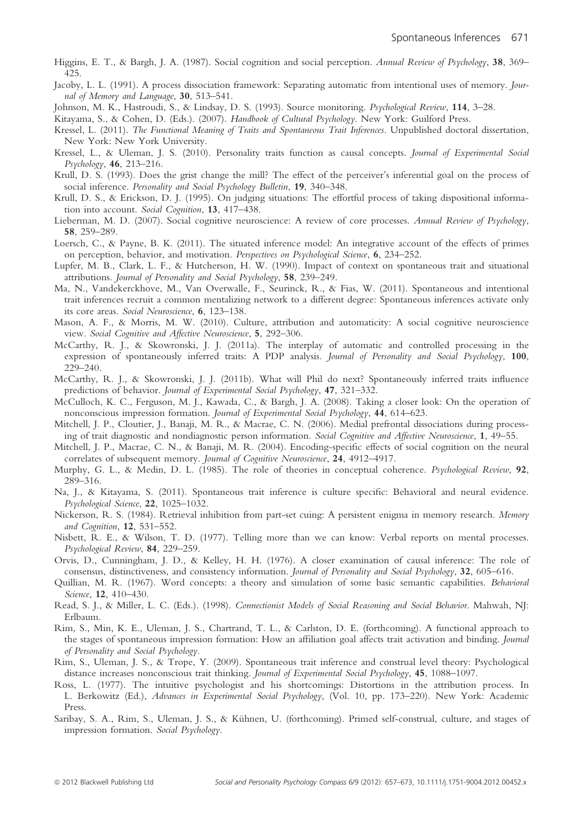- Higgins, E. T., & Bargh, J. A. (1987). Social cognition and social perception. Annual Review of Psychology, 38, 369-425.
- Jacoby, L. L. (1991). A process dissociation framework: Separating automatic from intentional uses of memory. Journal of Memory and Language, 30, 513–541.
- Johnson, M. K., Hastroudi, S., & Lindsay, D. S. (1993). Source monitoring. Psychological Review, 114, 3–28.

Kitayama, S., & Cohen, D. (Eds.). (2007). Handbook of Cultural Psychology. New York: Guilford Press.

- Kressel, L. (2011). The Functional Meaning of Traits and Spontaneous Trait Inferences. Unpublished doctoral dissertation, New York: New York University.
- Kressel, L., & Uleman, J. S. (2010). Personality traits function as causal concepts. Journal of Experimental Social Psychology, 46, 213–216.
- Krull, D. S. (1993). Does the grist change the mill? The effect of the perceiver's inferential goal on the process of social inference. Personality and Social Psychology Bulletin, 19, 340-348.
- Krull, D. S., & Erickson, D. J. (1995). On judging situations: The effortful process of taking dispositional information into account. Social Cognition, 13, 417–438.
- Lieberman, M. D. (2007). Social cognitive neuroscience: A review of core processes. Annual Review of Psychology, 58, 259–289.
- Loersch, C., & Payne, B. K. (2011). The situated inference model: An integrative account of the effects of primes on perception, behavior, and motivation. Perspectives on Psychological Science, 6, 234–252.
- Lupfer, M. B., Clark, L. F., & Hutcherson, H. W. (1990). Impact of context on spontaneous trait and situational attributions. Journal of Personality and Social Psychology, 58, 239–249.
- Ma, N., Vandekerckhove, M., Van Overwalle, F., Seurinck, R., & Fias, W. (2011). Spontaneous and intentional trait inferences recruit a common mentalizing network to a different degree: Spontaneous inferences activate only its core areas. Social Neuroscience, 6, 123–138.
- Mason, A. F., & Morris, M. W. (2010). Culture, attribution and automaticity: A social cognitive neuroscience view. Social Cognitive and Affective Neuroscience, 5, 292–306.
- McCarthy, R. J., & Skowronski, J. J. (2011a). The interplay of automatic and controlled processing in the expression of spontaneously inferred traits: A PDP analysis. Journal of Personality and Social Psychology, 100, 229–240.
- McCarthy, R. J., & Skowronski, J. J. (2011b). What will Phil do next? Spontaneously inferred traits influence predictions of behavior. Journal of Experimental Social Psychology, 47, 321–332.
- McCulloch, K. C., Ferguson, M. J., Kawada, C., & Bargh, J. A. (2008). Taking a closer look: On the operation of nonconscious impression formation. Journal of Experimental Social Psychology, 44, 614–623.
- Mitchell, J. P., Cloutier, J., Banaji, M. R., & Macrae, C. N. (2006). Medial prefrontal dissociations during processing of trait diagnostic and nondiagnostic person information. Social Cognitive and Affective Neuroscience, 1, 49–55.
- Mitchell, J. P., Macrae, C. N., & Banaji, M. R. (2004). Encoding-specific effects of social cognition on the neural correlates of subsequent memory. Journal of Cognitive Neuroscience, 24, 4912–4917.
- Murphy, G. L., & Medin, D. L. (1985). The role of theories in conceptual coherence. Psychological Review, 92, 289–316.
- Na, J., & Kitayama, S. (2011). Spontaneous trait inference is culture specific: Behavioral and neural evidence. Psychological Science, 22, 1025–1032.
- Nickerson, R. S. (1984). Retrieval inhibition from part-set cuing: A persistent enigma in memory research. Memory and Cognition, 12, 531–552.
- Nisbett, R. E., & Wilson, T. D. (1977). Telling more than we can know: Verbal reports on mental processes. Psychological Review, 84, 229–259.
- Orvis, D., Cunningham, J. D., & Kelley, H. H. (1976). A closer examination of causal inference: The role of consensus, distinctiveness, and consistency information. Journal of Personality and Social Psychology, 32, 605–616.
- Quillian, M. R. (1967). Word concepts: a theory and simulation of some basic semantic capabilities. Behavioral Science, 12, 410–430.
- Read, S. J., & Miller, L. C. (Eds.). (1998). Connectionist Models of Social Reasoning and Social Behavior. Mahwah, NJ: Erlbaum.
- Rim, S., Min, K. E., Uleman, J. S., Chartrand, T. L., & Carlston, D. E. (forthcoming). A functional approach to the stages of spontaneous impression formation: How an affiliation goal affects trait activation and binding. Journal of Personality and Social Psychology.
- Rim, S., Uleman, J. S., & Trope, Y. (2009). Spontaneous trait inference and construal level theory: Psychological distance increases nonconscious trait thinking. Journal of Experimental Social Psychology, 45, 1088–1097.
- Ross, L. (1977). The intuitive psychologist and his shortcomings: Distortions in the attribution process. In L. Berkowitz (Ed.), Advances in Experimental Social Psychology, (Vol. 10, pp. 173–220). New York: Academic Press.
- Saribay, S. A., Rim, S., Uleman, J. S., & Kühnen, U. (forthcoming). Primed self-construal, culture, and stages of impression formation. Social Psychology.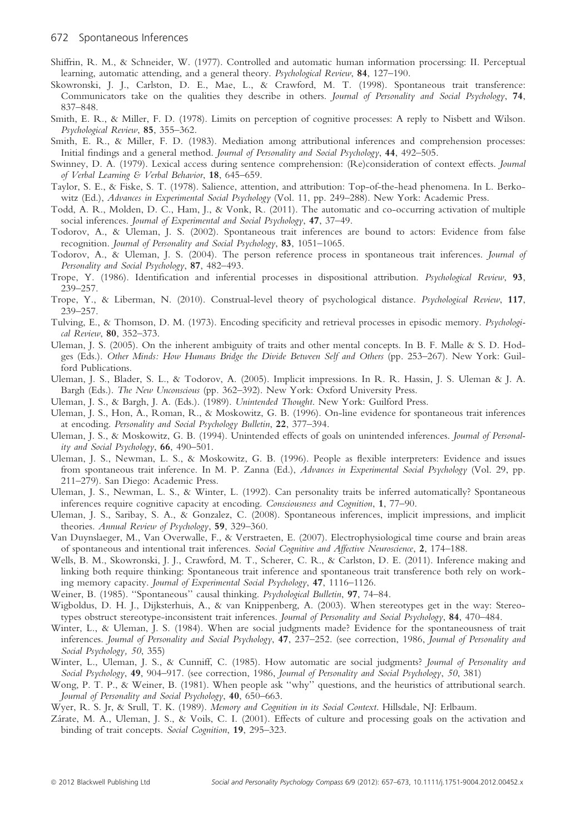- Shiffrin, R. M., & Schneider, W. (1977). Controlled and automatic human information procerssing: II. Perceptual learning, automatic attending, and a general theory. Psychological Review, 84, 127–190.
- Skowronski, J. J., Carlston, D. E., Mae, L., & Crawford, M. T. (1998). Spontaneous trait transference: Communicators take on the qualities they describe in others. Journal of Personality and Social Psychology, 74, 837–848.
- Smith, E. R., & Miller, F. D. (1978). Limits on perception of cognitive processes: A reply to Nisbett and Wilson. Psychological Review, 85, 355–362.
- Smith, E. R., & Miller, F. D. (1983). Mediation among attributional inferences and comprehension processes: Initial findings and a general method. Journal of Personality and Social Psychology, 44, 492–505.
- Swinney, D. A. (1979). Lexical access during sentence comprehension: (Re)consideration of context effects. Journal of Verbal Learning & Verbal Behavior, 18, 645–659.
- Taylor, S. E., & Fiske, S. T. (1978). Salience, attention, and attribution: Top-of-the-head phenomena. In L. Berkowitz (Ed.), Advances in Experimental Social Psychology (Vol. 11, pp. 249-288). New York: Academic Press.
- Todd, A. R., Molden, D. C., Ham, J., & Vonk, R. (2011). The automatic and co-occurring activation of multiple social inferences. Journal of Experimental and Social Psychology, 47, 37–49.
- Todorov, A., & Uleman, J. S. (2002). Spontaneous trait inferences are bound to actors: Evidence from false recognition. Journal of Personality and Social Psychology, 83, 1051–1065.
- Todorov, A., & Uleman, J. S. (2004). The person reference process in spontaneous trait inferences. Journal of Personality and Social Psychology, 87, 482–493.
- Trope, Y. (1986). Identification and inferential processes in dispositional attribution. Psychological Review, 93, 239–257.
- Trope, Y., & Liberman, N. (2010). Construal-level theory of psychological distance. Psychological Review, 117, 239–257.
- Tulving, E., & Thomson, D. M. (1973). Encoding specificity and retrieval processes in episodic memory. Psychological Review, 80, 352–373.
- Uleman, J. S. (2005). On the inherent ambiguity of traits and other mental concepts. In B. F. Malle & S. D. Hodges (Eds.). Other Minds: How Humans Bridge the Divide Between Self and Others (pp. 253–267). New York: Guilford Publications.
- Uleman, J. S., Blader, S. L., & Todorov, A. (2005). Implicit impressions. In R. R. Hassin, J. S. Uleman & J. A. Bargh (Eds.). The New Unconscious (pp. 362–392). New York: Oxford University Press.
- Uleman, J. S., & Bargh, J. A. (Eds.). (1989). Unintended Thought. New York: Guilford Press.
- Uleman, J. S., Hon, A., Roman, R., & Moskowitz, G. B. (1996). On-line evidence for spontaneous trait inferences at encoding. Personality and Social Psychology Bulletin, 22, 377–394.
- Uleman, J. S., & Moskowitz, G. B. (1994). Unintended effects of goals on unintended inferences. Journal of Personality and Social Psychology,  $66$ , 490-501.
- Uleman, J. S., Newman, L. S., & Moskowitz, G. B. (1996). People as flexible interpreters: Evidence and issues from spontaneous trait inference. In M. P. Zanna (Ed.), Advances in Experimental Social Psychology (Vol. 29, pp. 211–279). San Diego: Academic Press.
- Uleman, J. S., Newman, L. S., & Winter, L. (1992). Can personality traits be inferred automatically? Spontaneous inferences require cognitive capacity at encoding. Consciousness and Cognition, 1, 77–90.
- Uleman, J. S., Saribay, S. A., & Gonzalez, C. (2008). Spontaneous inferences, implicit impressions, and implicit theories. Annual Review of Psychology, 59, 329–360.
- Van Duynslaeger, M., Van Overwalle, F., & Verstraeten, E. (2007). Electrophysiological time course and brain areas of spontaneous and intentional trait inferences. Social Cognitive and Affective Neuroscience, 2, 174–188.
- Wells, B. M., Skowronski, J. J., Crawford, M. T., Scherer, C. R., & Carlston, D. E. (2011). Inference making and linking both require thinking: Spontaneous trait inference and spontaneous trait transference both rely on working memory capacity. Journal of Experimental Social Psychology, 47, 1116–1126.
- Weiner, B. (1985). ''Spontaneous'' causal thinking. Psychological Bulletin, 97, 74–84.
- Wigboldus, D. H. J., Dijksterhuis, A., & van Knippenberg, A. (2003). When stereotypes get in the way: Stereotypes obstruct stereotype-inconsistent trait inferences. Journal of Personality and Social Psychology, 84, 470–484.
- Winter, L., & Uleman, J. S. (1984). When are social judgments made? Evidence for the spontaneousness of trait inferences. Journal of Personality and Social Psychology, 47, 237–252. (see correction, 1986, Journal of Personality and Social Psychology, 50, 355)
- Winter, L., Uleman, J. S., & Cunniff, C. (1985). How automatic are social judgments? Journal of Personality and Social Psychology, 49, 904–917. (see correction, 1986, Journal of Personality and Social Psychology, 50, 381)
- Wong, P. T. P., & Weiner, B. (1981). When people ask ''why'' questions, and the heuristics of attributional search. Journal of Personality and Social Psychology, 40, 650–663.
- Wyer, R. S. Jr, & Srull, T. K. (1989). Memory and Cognition in its Social Context. Hillsdale, NJ: Erlbaum.
- Zárate, M. A., Uleman, J. S., & Voils, C. I. (2001). Effects of culture and processing goals on the activation and binding of trait concepts. Social Cognition, 19, 295–323.